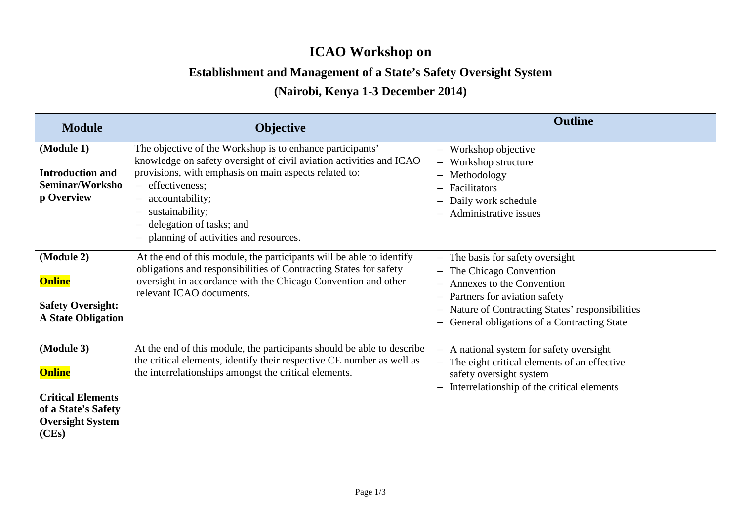## **ICAO Workshop on**

## **Establishment and Management of a State's Safety Oversight System**

## **(Nairobi, Kenya 1-3 December 2014)**

| <b>Module</b>                                                                                                      | <b>Objective</b>                                                                                                                                                                                                                                                                                                                                                                                                                                     | <b>Outline</b>                                                                                                                                                                                                                                                                                                        |
|--------------------------------------------------------------------------------------------------------------------|------------------------------------------------------------------------------------------------------------------------------------------------------------------------------------------------------------------------------------------------------------------------------------------------------------------------------------------------------------------------------------------------------------------------------------------------------|-----------------------------------------------------------------------------------------------------------------------------------------------------------------------------------------------------------------------------------------------------------------------------------------------------------------------|
| (Module 1)<br><b>Introduction and</b><br>Seminar/Worksho<br>p Overview                                             | The objective of the Workshop is to enhance participants'<br>knowledge on safety oversight of civil aviation activities and ICAO<br>provisions, with emphasis on main aspects related to:<br>effectiveness;<br>$\overline{\phantom{m}}$<br>accountability;<br>$\qquad \qquad -$<br>sustainability;<br>$\overline{\phantom{m}}$<br>delegation of tasks; and<br>$\overline{\phantom{m}}$<br>planning of activities and resources.<br>$\qquad \qquad -$ | Workshop objective<br>$\overline{\phantom{0}}$<br>Workshop structure<br>$\overline{\phantom{m}}$<br>Methodology<br>$\qquad \qquad -$<br>Facilitators<br>—<br>Daily work schedule<br>—<br>Administrative issues<br>—                                                                                                   |
| (Module 2)<br><b>Online</b><br><b>Safety Oversight:</b><br><b>A State Obligation</b>                               | At the end of this module, the participants will be able to identify<br>obligations and responsibilities of Contracting States for safety<br>oversight in accordance with the Chicago Convention and other<br>relevant ICAO documents.                                                                                                                                                                                                               | The basis for safety oversight<br>$\qquad \qquad -$<br>The Chicago Convention<br>$\overline{\phantom{m}}$<br>Annexes to the Convention<br>$\qquad \qquad -$<br>Partners for aviation safety<br>$\qquad \qquad -$<br>Nature of Contracting States' responsibilities<br>—<br>General obligations of a Contracting State |
| (Module 3)<br><b>Online</b><br><b>Critical Elements</b><br>of a State's Safety<br><b>Oversight System</b><br>(CEs) | At the end of this module, the participants should be able to describe<br>the critical elements, identify their respective CE number as well as<br>the interrelationships amongst the critical elements.                                                                                                                                                                                                                                             | A national system for safety oversight<br>$\overline{\phantom{m}}$<br>The eight critical elements of an effective<br>$\overline{\phantom{m}}$<br>safety oversight system<br>Interrelationship of the critical elements                                                                                                |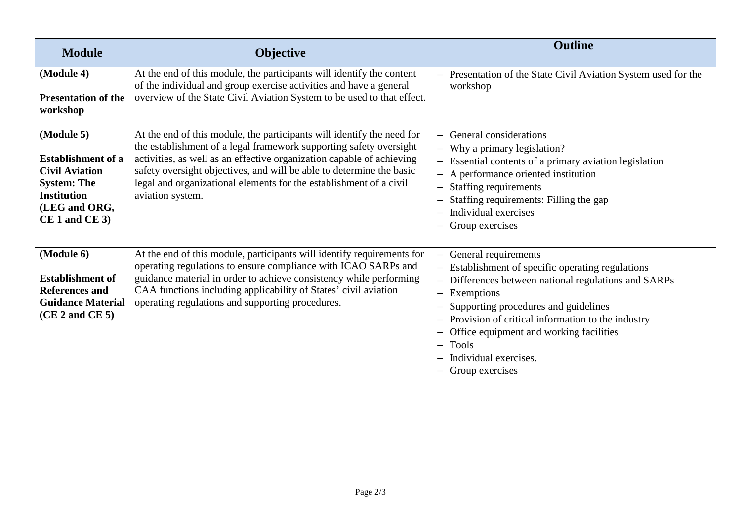| <b>Module</b>                                                                                                                                      | <b>Objective</b>                                                                                                                                                                                                                                                                                                                                                                        | <b>Outline</b>                                                                                                                                                                                                                                                                                                                                                                                          |
|----------------------------------------------------------------------------------------------------------------------------------------------------|-----------------------------------------------------------------------------------------------------------------------------------------------------------------------------------------------------------------------------------------------------------------------------------------------------------------------------------------------------------------------------------------|---------------------------------------------------------------------------------------------------------------------------------------------------------------------------------------------------------------------------------------------------------------------------------------------------------------------------------------------------------------------------------------------------------|
| (Module 4)<br><b>Presentation of the</b><br>workshop                                                                                               | At the end of this module, the participants will identify the content<br>of the individual and group exercise activities and have a general<br>overview of the State Civil Aviation System to be used to that effect.                                                                                                                                                                   | Presentation of the State Civil Aviation System used for the<br>$\overline{\phantom{0}}$<br>workshop                                                                                                                                                                                                                                                                                                    |
| (Module 5)<br><b>Establishment of a</b><br><b>Civil Aviation</b><br><b>System: The</b><br><b>Institution</b><br>(LEG and ORG,<br>$CE 1$ and $CE 3$ | At the end of this module, the participants will identify the need for<br>the establishment of a legal framework supporting safety oversight<br>activities, as well as an effective organization capable of achieving<br>safety oversight objectives, and will be able to determine the basic<br>legal and organizational elements for the establishment of a civil<br>aviation system. | General considerations<br>- Why a primary legislation?<br>Essential contents of a primary aviation legislation<br>- A performance oriented institution<br>Staffing requirements<br>Staffing requirements: Filling the gap<br>Individual exercises<br>Group exercises                                                                                                                                    |
| (Module 6)<br><b>Establishment of</b><br><b>References and</b><br><b>Guidance Material</b><br>(CE 2 and CE 5)                                      | At the end of this module, participants will identify requirements for<br>operating regulations to ensure compliance with ICAO SARPs and<br>guidance material in order to achieve consistency while performing<br>CAA functions including applicability of States' civil aviation<br>operating regulations and supporting procedures.                                                   | General requirements<br>$\overline{\phantom{0}}$<br>Establishment of specific operating regulations<br>Differences between national regulations and SARPs<br>$\overline{\phantom{0}}$<br>Exemptions<br>Supporting procedures and guidelines<br>Provision of critical information to the industry<br>Office equipment and working facilities<br><b>Tools</b><br>Individual exercises.<br>Group exercises |